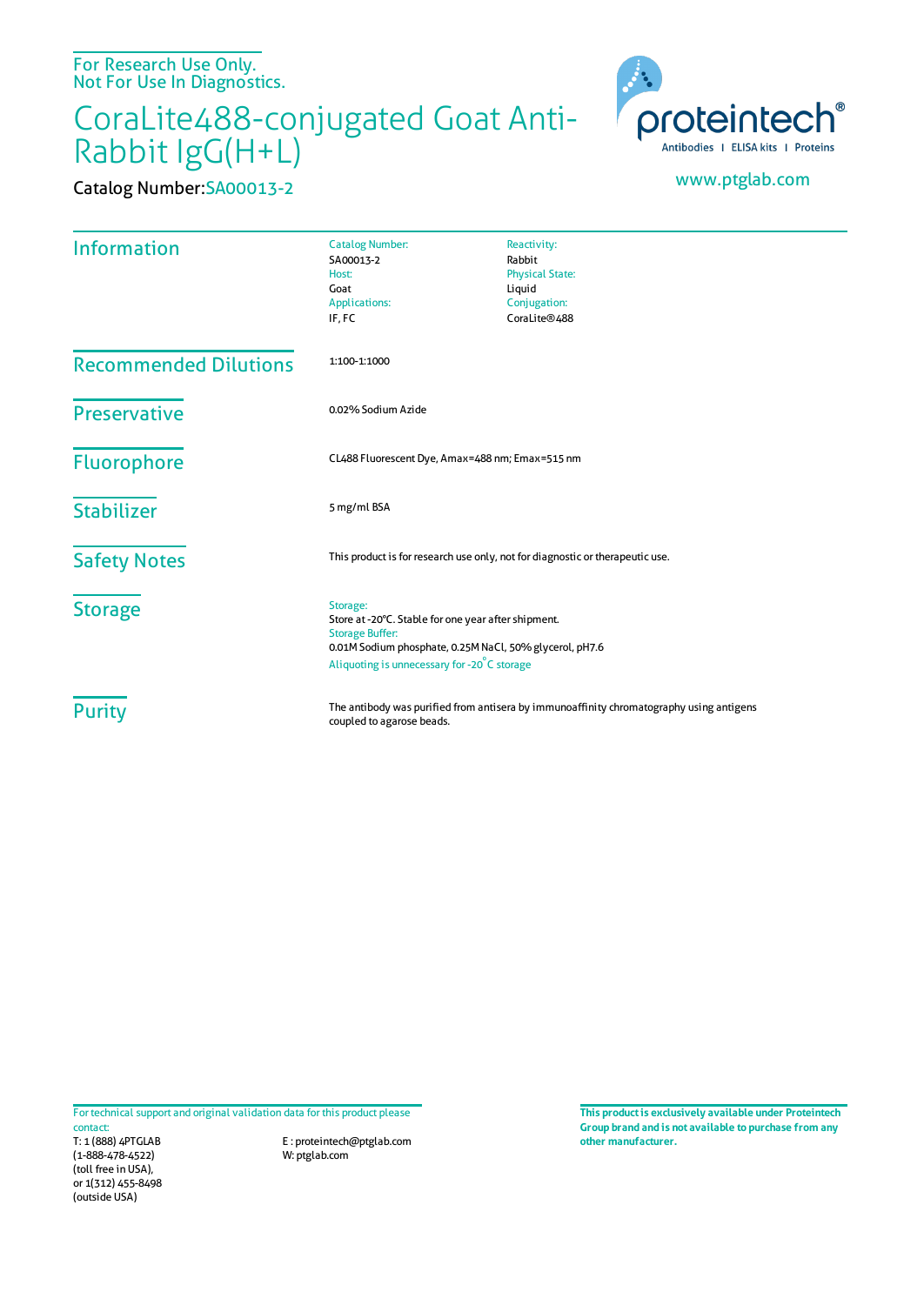For Research Use Only. Not For Use In Diagnostics.

## CoraLite488-conjugated Goat Anti-Rabbit IgG(H+L)



Catalog Number:SA00013-2 www.ptglab.com

| <b>Information</b>           | <b>Catalog Number:</b><br>SA00013-2<br>Host:<br>Goat<br><b>Applications:</b><br>IF, FC                                                                                                              | Reactivity:<br>Rabbit<br><b>Physical State:</b><br>Liquid<br>Conjugation:<br>CoraLite®488 |
|------------------------------|-----------------------------------------------------------------------------------------------------------------------------------------------------------------------------------------------------|-------------------------------------------------------------------------------------------|
| <b>Recommended Dilutions</b> | 1:100-1:1000                                                                                                                                                                                        |                                                                                           |
| <b>Preservative</b>          | 0.02% Sodium Azide                                                                                                                                                                                  |                                                                                           |
| <b>Fluorophore</b>           | CL488 Fluorescent Dye, Amax=488 nm; Emax=515 nm                                                                                                                                                     |                                                                                           |
| <b>Stabilizer</b>            | 5 mg/ml BSA                                                                                                                                                                                         |                                                                                           |
| <b>Safety Notes</b>          | This product is for research use only, not for diagnostic or therapeutic use.                                                                                                                       |                                                                                           |
| <b>Storage</b>               | Storage:<br>Store at -20°C. Stable for one year after shipment.<br><b>Storage Buffer:</b><br>0.01M Sodium phosphate, 0.25M NaCl, 50% glycerol, pH7.6<br>Aliquoting is unnecessary for -20°C storage |                                                                                           |
| <b>Purity</b>                | The antibody was purified from antisera by immunoaffinity chromatography using antigens<br>coupled to agarose beads.                                                                                |                                                                                           |

For technical support and original validation data for this product please

T: 1 (888) 4PTGLAB (1-888-478-4522) (toll free in USA), or 1(312) 455-8498 (outside USA) contact:

E : proteintech@ptglab.com W: ptglab.com

**This productis exclusively available under Proteintech Group brand and is not available to purchase from any other manufacturer.**